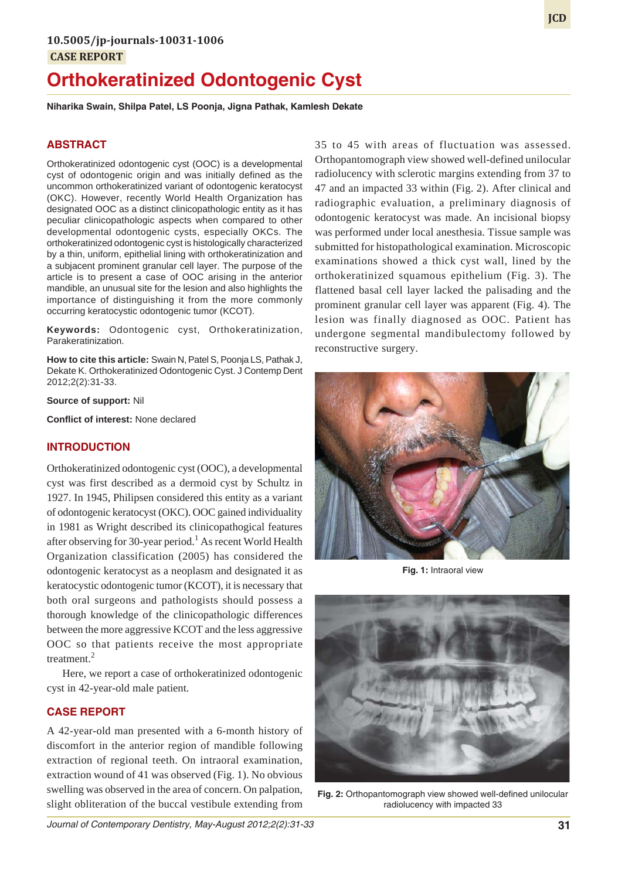# **Orthokeratinized Odontogenic Cyst**

**Niharika Swain, Shilpa Patel, LS Poonja, Jigna Pathak, Kamlesh Dekate**

# **ABSTRACT**

Orthokeratinized odontogenic cyst (OOC) is a developmental cyst of odontogenic origin and was initially defined as the uncommon orthokeratinized variant of odontogenic keratocyst (OKC). However, recently World Health Organization has designated OOC as a distinct clinicopathologic entity as it has peculiar clinicopathologic aspects when compared to other developmental odontogenic cysts, especially OKCs. The orthokeratinized odontogenic cyst is histologically characterized by a thin, uniform, epithelial lining with orthokeratinization and a subjacent prominent granular cell layer. The purpose of the article is to present a case of OOC arising in the anterior mandible, an unusual site for the lesion and also highlights the importance of distinguishing it from the more commonly occurring keratocystic odontogenic tumor (KCOT).

**Keywords:** Odontogenic cyst, Orthokeratinization, Parakeratinization.

**How to cite this article:** Swain N, Patel S, Poonja LS, Pathak J, Dekate K. Orthokeratinized Odontogenic Cyst. J Contemp Dent 2012;2(2):31-33.

**Source of support:** Nil

**Conflict of interest:** None declared

#### **INTRODUCTION**

Orthokeratinized odontogenic cyst (OOC), a developmental cyst was first described as a dermoid cyst by Schultz in 1927. In 1945, Philipsen considered this entity as a variant of odontogenic keratocyst (OKC). OOC gained individuality in 1981 as Wright described its clinicopathogical features after observing for 30-year period.<sup>1</sup> As recent World Health Organization classification (2005) has considered the odontogenic keratocyst as a neoplasm and designated it as keratocystic odontogenic tumor (KCOT), it is necessary that both oral surgeons and pathologists should possess a thorough knowledge of the clinicopathologic differences between the more aggressive KCOT and the less aggressive OOC so that patients receive the most appropriate treatment.<sup>2</sup>

Here, we report a case of orthokeratinized odontogenic cyst in 42-year-old male patient.

#### **CASE REPORT**

A 42-year-old man presented with a 6-month history of discomfort in the anterior region of mandible following extraction of regional teeth. On intraoral examination, extraction wound of 41 was observed (Fig. 1). No obvious swelling was observed in the area of concern. On palpation, slight obliteration of the buccal vestibule extending from

35 to 45 with areas of fluctuation was assessed. Orthopantomograph view showed well-defined unilocular radiolucency with sclerotic margins extending from 37 to 47 and an impacted 33 within (Fig. 2). After clinical and radiographic evaluation, a preliminary diagnosis of odontogenic keratocyst was made. An incisional biopsy was performed under local anesthesia. Tissue sample was submitted for histopathological examination. Microscopic examinations showed a thick cyst wall, lined by the orthokeratinized squamous epithelium (Fig. 3). The flattened basal cell layer lacked the palisading and the prominent granular cell layer was apparent (Fig. 4). The lesion was finally diagnosed as OOC. Patient has undergone segmental mandibulectomy followed by reconstructive surgery.



**Fig. 1:** Intraoral view



**Fig. 2:** Orthopantomograph view showed well-defined unilocular radiolucency with impacted 33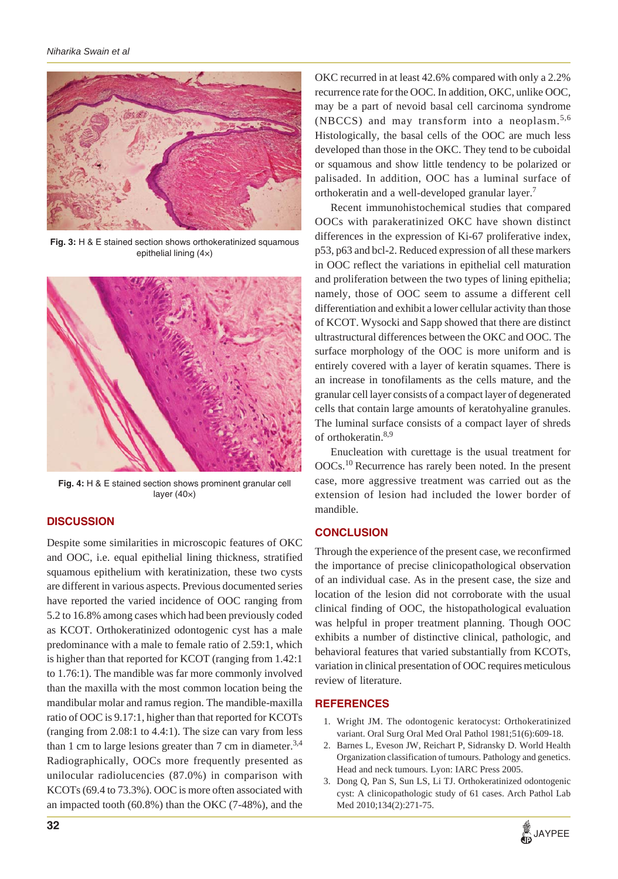

**Fig. 3:** H & E stained section shows orthokeratinized squamous epithelial lining (4×)



**Fig. 4:** H & E stained section shows prominent granular cell layer (40×)

### **DISCUSSION**

Despite some similarities in microscopic features of OKC and OOC, i.e. equal epithelial lining thickness, stratified squamous epithelium with keratinization, these two cysts are different in various aspects. Previous documented series have reported the varied incidence of OOC ranging from 5.2 to 16.8% among cases which had been previously coded as KCOT. Orthokeratinized odontogenic cyst has a male predominance with a male to female ratio of 2.59:1, which is higher than that reported for KCOT (ranging from 1.42:1 to 1.76:1). The mandible was far more commonly involved than the maxilla with the most common location being the mandibular molar and ramus region. The mandible-maxilla ratio of OOC is 9.17:1, higher than that reported for KCOTs (ranging from 2.08:1 to 4.4:1). The size can vary from less than 1 cm to large lesions greater than 7 cm in diameter.<sup>3,4</sup> Radiographically, OOCs more frequently presented as unilocular radiolucencies (87.0%) in comparison with KCOTs (69.4 to 73.3%). OOC is more often associated with an impacted tooth (60.8%) than the OKC (7-48%), and the OKC recurred in at least 42.6% compared with only a 2.2% recurrence rate for the OOC. In addition, OKC, unlike OOC, may be a part of nevoid basal cell carcinoma syndrome (NBCCS) and may transform into a neoplasm. $5,6$ Histologically, the basal cells of the OOC are much less developed than those in the OKC. They tend to be cuboidal or squamous and show little tendency to be polarized or palisaded. In addition, OOC has a luminal surface of orthokeratin and a well-developed granular layer.

Recent immunohistochemical studies that compared OOCs with parakeratinized OKC have shown distinct differences in the expression of Ki-67 proliferative index, p53, p63 and bcl-2. Reduced expression of all these markers in OOC reflect the variations in epithelial cell maturation and proliferation between the two types of lining epithelia; namely, those of OOC seem to assume a different cell differentiation and exhibit a lower cellular activity than those of KCOT. Wysocki and Sapp showed that there are distinct ultrastructural differences between the OKC and OOC. The surface morphology of the OOC is more uniform and is entirely covered with a layer of keratin squames. There is an increase in tonofilaments as the cells mature, and the granular cell layer consists of a compact layer of degenerated cells that contain large amounts of keratohyaline granules. The luminal surface consists of a compact layer of shreds of orthokeratin.<sup>8,9</sup>

Enucleation with curettage is the usual treatment for OOCs.10 Recurrence has rarely been noted. In the present case, more aggressive treatment was carried out as the extension of lesion had included the lower border of mandible.

## **CONCLUSION**

Through the experience of the present case, we reconfirmed the importance of precise clinicopathological observation of an individual case. As in the present case, the size and location of the lesion did not corroborate with the usual clinical finding of OOC, the histopathological evaluation was helpful in proper treatment planning. Though OOC exhibits a number of distinctive clinical, pathologic, and behavioral features that varied substantially from KCOTs, variation in clinical presentation of OOC requires meticulous review of literature.

#### **REFERENCES**

- 1. Wright JM. The odontogenic keratocyst: Orthokeratinized variant. Oral Surg Oral Med Oral Pathol 1981;51(6):609-18.
- 2. Barnes L, Eveson JW, Reichart P, Sidransky D. World Health Organization classification of tumours. Pathology and genetics. Head and neck tumours. Lyon: IARC Press 2005.
- 3. Dong Q, Pan S, Sun LS, Li TJ. Orthokeratinized odontogenic cyst: A clinicopathologic study of 61 cases. Arch Pathol Lab Med 2010;134(2):271-75.